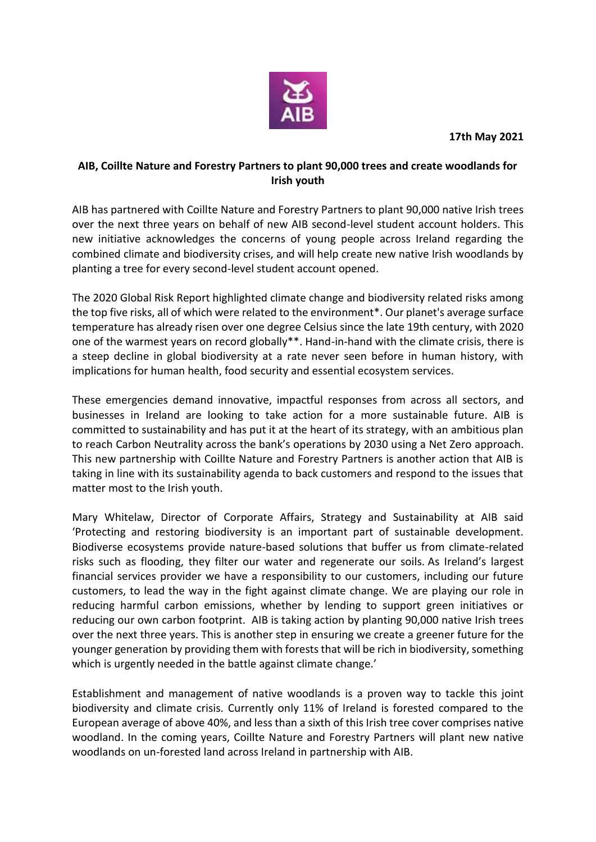

**17th May 2021**

## **AIB, Coillte Nature and Forestry Partners to plant 90,000 trees and create woodlands for Irish youth**

AIB has partnered with Coillte Nature and Forestry Partners to plant 90,000 native Irish trees over the next three years on behalf of new AIB second-level student account holders. This new initiative acknowledges the concerns of young people across Ireland regarding the combined climate and biodiversity crises, and will help create new native Irish woodlands by planting a tree for every second-level student account opened.

The 2020 Global Risk Report highlighted climate change and biodiversity related risks among the top five risks, all of which were related to the environment\*. Our planet's average surface temperature has already risen over one degree Celsius since the late 19th century, with 2020 one of the warmest years on record globally\*\*. Hand-in-hand with the climate crisis, there is a steep decline in global biodiversity at a rate never seen before in human history, with implications for human health, food security and essential ecosystem services.

These emergencies demand innovative, impactful responses from across all sectors, and businesses in Ireland are looking to take action for a more sustainable future. AIB is committed to sustainability and has put it at the heart of its strategy, with an ambitious plan to reach Carbon Neutrality across the bank's operations by 2030 using a Net Zero approach. This new partnership with Coillte Nature and Forestry Partners is another action that AIB is taking in line with its sustainability agenda to back customers and respond to the issues that matter most to the Irish youth.

Mary Whitelaw, Director of Corporate Affairs, Strategy and Sustainability at AIB said 'Protecting and restoring biodiversity is an important part of sustainable development. Biodiverse ecosystems provide nature-based solutions that buffer us from climate-related risks such as flooding, they filter our water and regenerate our soils. As Ireland's largest financial services provider we have a responsibility to our customers, including our future customers, to lead the way in the fight against climate change. We are playing our role in reducing harmful carbon emissions, whether by lending to support green initiatives or reducing our own carbon footprint. AIB is taking action by planting 90,000 native Irish trees over the next three years. This is another step in ensuring we create a greener future for the younger generation by providing them with forests that will be rich in biodiversity, something which is urgently needed in the battle against climate change.'

Establishment and management of native woodlands is a proven way to tackle this joint biodiversity and climate crisis. Currently only 11% of Ireland is forested compared to the European average of above 40%, and less than a sixth of this Irish tree cover comprises native woodland. In the coming years, Coillte Nature and Forestry Partners will plant new native woodlands on un-forested land across Ireland in partnership with AIB.